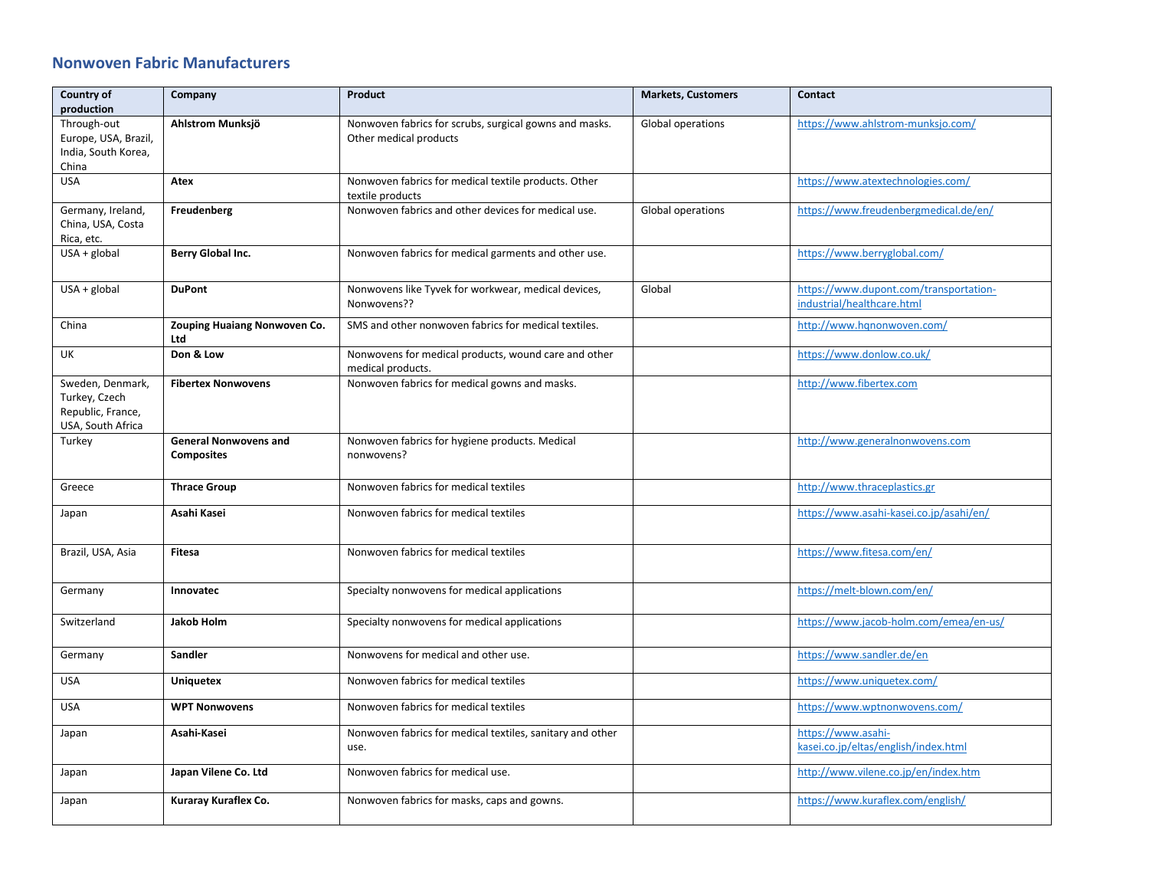## **Nonwoven Fabric Manufacturers**

| Country of<br>production                                                    | Company                                           | Product                                                                          | <b>Markets, Customers</b> | Contact                                                              |
|-----------------------------------------------------------------------------|---------------------------------------------------|----------------------------------------------------------------------------------|---------------------------|----------------------------------------------------------------------|
| Through-out<br>Europe, USA, Brazil,<br>India, South Korea,<br>China         | Ahlstrom Munksjö                                  | Nonwoven fabrics for scrubs, surgical gowns and masks.<br>Other medical products | Global operations         | https://www.ahlstrom-munksjo.com/                                    |
| <b>USA</b>                                                                  | Atex                                              | Nonwoven fabrics for medical textile products. Other<br>textile products         |                           | https://www.atextechnologies.com/                                    |
| Germany, Ireland,<br>China, USA, Costa<br>Rica, etc.                        | Freudenberg                                       | Nonwoven fabrics and other devices for medical use.                              | Global operations         | https://www.freudenbergmedical.de/en/                                |
| $USA + global$                                                              | Berry Global Inc.                                 | Nonwoven fabrics for medical garments and other use.                             |                           | https://www.berryglobal.com/                                         |
| $USA + global$                                                              | <b>DuPont</b>                                     | Nonwovens like Tyvek for workwear, medical devices,<br>Nonwovens??               | Global                    | https://www.dupont.com/transportation-<br>industrial/healthcare.html |
| China                                                                       | Zouping Huaiang Nonwoven Co.<br>Ltd               | SMS and other nonwoven fabrics for medical textiles.                             |                           | http://www.hqnonwoven.com/                                           |
| UK                                                                          | Don & Low                                         | Nonwovens for medical products, wound care and other<br>medical products.        |                           | https://www.donlow.co.uk/                                            |
| Sweden, Denmark,<br>Turkey, Czech<br>Republic, France,<br>USA, South Africa | <b>Fibertex Nonwovens</b>                         | Nonwoven fabrics for medical gowns and masks.                                    |                           | http://www.fibertex.com                                              |
| Turkey                                                                      | <b>General Nonwovens and</b><br><b>Composites</b> | Nonwoven fabrics for hygiene products. Medical<br>nonwovens?                     |                           | http://www.generalnonwovens.com                                      |
| Greece                                                                      | <b>Thrace Group</b>                               | Nonwoven fabrics for medical textiles                                            |                           | http://www.thraceplastics.gr                                         |
| Japan                                                                       | Asahi Kasei                                       | Nonwoven fabrics for medical textiles                                            |                           | https://www.asahi-kasei.co.jp/asahi/en/                              |
| Brazil, USA, Asia                                                           | Fitesa                                            | Nonwoven fabrics for medical textiles                                            |                           | https://www.fitesa.com/en/                                           |
| Germany                                                                     | Innovatec                                         | Specialty nonwovens for medical applications                                     |                           | https://melt-blown.com/en/                                           |
| Switzerland                                                                 | <b>Jakob Holm</b>                                 | Specialty nonwovens for medical applications                                     |                           | https://www.jacob-holm.com/emea/en-us/                               |
| Germany                                                                     | Sandler                                           | Nonwovens for medical and other use.                                             |                           | https://www.sandler.de/en                                            |
| <b>USA</b>                                                                  | <b>Uniquetex</b>                                  | Nonwoven fabrics for medical textiles                                            |                           | https://www.uniquetex.com/                                           |
| <b>USA</b>                                                                  | <b>WPT Nonwovens</b>                              | Nonwoven fabrics for medical textiles                                            |                           | https://www.wptnonwovens.com/                                        |
| Japan                                                                       | Asahi-Kasei                                       | Nonwoven fabrics for medical textiles, sanitary and other<br>use.                |                           | https://www.asahi-<br>kasei.co.jp/eltas/english/index.html           |
| Japan                                                                       | Japan Vilene Co. Ltd                              | Nonwoven fabrics for medical use.                                                |                           | http://www.vilene.co.jp/en/index.htm                                 |
| Japan                                                                       | Kuraray Kuraflex Co.                              | Nonwoven fabrics for masks, caps and gowns.                                      |                           | https://www.kuraflex.com/english/                                    |